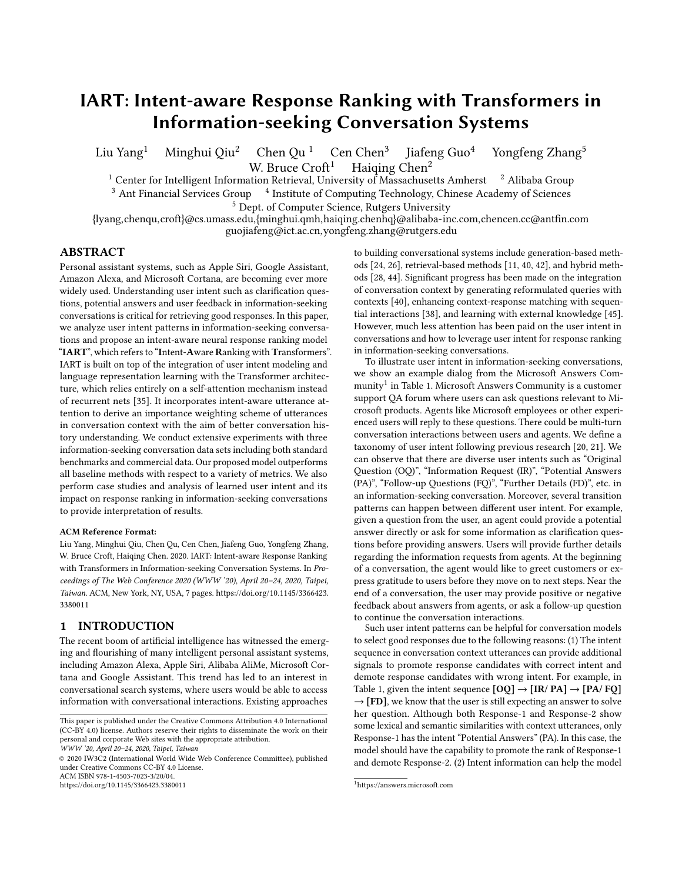# IART: Intent-aware Response Ranking with Transformers in Information-seeking Conversation Systems

Liu Yang<sup>1</sup> Minghui Qiu<sup>2</sup> Chen Qu<sup>1</sup> Cen Chen<sup>3</sup> Jiafeng Guo<sup>4</sup> Yongfeng Zhang<sup>5</sup> W. Bruce  $Croft<sup>1</sup>$  Haiqing Chen<sup>2</sup>

<sup>1</sup> Center for Intelligent Information Retrieval, University of Massachusetts Amherst <sup>2</sup> Alibaba Group <sup>3</sup> Ant Financial Services Group <sup>4</sup> Institute of Computing Technology, Chinese Academy of Sciences

<sup>5</sup> Dept. of Computer Science, Rutgers University

{lyang,chenqu,croft}@cs.umass.edu,{minghui.qmh,haiqing.chenhq}@alibaba-inc.com,chencen.cc@antfn.com guojiafeng@ict.ac.cn,yongfeng.zhang@rutgers.edu

## ABSTRACT

Personal assistant systems, such as Apple Siri, Google Assistant, Amazon Alexa, and Microsoft Cortana, are becoming ever more widely used. Understanding user intent such as clarifcation questions, potential answers and user feedback in information-seeking conversations is critical for retrieving good responses. In this paper, we analyze user intent patterns in information-seeking conversations and propose an intent-aware neural response ranking model "IART", which refers to "Intent-Aware Ranking with Transformers". IART is built on top of the integration of user intent modeling and language representation learning with the Transformer architecture, which relies entirely on a self-attention mechanism instead of recurrent nets [\[35\]](#page-6-0). It incorporates intent-aware utterance attention to derive an importance weighting scheme of utterances in conversation context with the aim of better conversation history understanding. We conduct extensive experiments with three information-seeking conversation data sets including both standard benchmarks and commercial data. Our proposed model outperforms all baseline methods with respect to a variety of metrics. We also perform case studies and analysis of learned user intent and its impact on response ranking in information-seeking conversations to provide interpretation of results.

#### ACM Reference Format:

Liu Yang, Minghui Qiu, Chen Qu, Cen Chen, Jiafeng Guo, Yongfeng Zhang, W. Bruce Croft, Haiqing Chen. 2020. IART: Intent-aware Response Ranking with Transformers in Information-seeking Conversation Systems. In Proceedings of The Web Conference 2020 (WWW '20), April 20–24, 2020, Taipei, Taiwan. ACM, New York, NY, USA, 7 pages. [https://doi.org/10.1145/3366423.](https://doi.org/10.1145/3366423.3380011) [3380011](https://doi.org/10.1145/3366423.3380011)

# 1 INTRODUCTION

The recent boom of artifcial intelligence has witnessed the emerging and fourishing of many intelligent personal assistant systems, including Amazon Alexa, Apple Siri, Alibaba AliMe, Microsoft Cortana and Google Assistant. This trend has led to an interest in conversational search systems, where users would be able to access information with conversational interactions. Existing approaches

ACM ISBN 978-1-4503-7023-3/20/04.

to building conversational systems include generation-based methods [\[24,](#page-6-1) [26\]](#page-6-2), retrieval-based methods [\[11,](#page-6-3) [40,](#page-6-4) [42\]](#page-6-5), and hybrid methods [\[28,](#page-6-6) [44\]](#page-6-7). Signifcant progress has been made on the integration of conversation context by generating reformulated queries with contexts [\[40\]](#page-6-4), enhancing context-response matching with sequential interactions [\[38\]](#page-6-8), and learning with external knowledge [\[45\]](#page-6-9). However, much less attention has been paid on the user intent in conversations and how to leverage user intent for response ranking in information-seeking conversations.

To illustrate user intent in information-seeking conversations, we show an example dialog from the Microsoft Answers Community $^1$  $^1$  in Table [1.](#page-1-0) Microsoft Answers Community is a customer support QA forum where users can ask questions relevant to Microsoft products. Agents like Microsoft employees or other experienced users will reply to these questions. There could be multi-turn conversation interactions between users and agents. We defne a taxonomy of user intent following previous research [\[20,](#page-6-10) [21\]](#page-6-11). We can observe that there are diverse user intents such as "Original Question (OQ)", "Information Request (IR)", "Potential Answers (PA)", "Follow-up Questions (FQ)", "Further Details (FD)", etc. in an information-seeking conversation. Moreover, several transition patterns can happen between diferent user intent. For example, given a question from the user, an agent could provide a potential answer directly or ask for some information as clarifcation questions before providing answers. Users will provide further details regarding the information requests from agents. At the beginning of a conversation, the agent would like to greet customers or express gratitude to users before they move on to next steps. Near the end of a conversation, the user may provide positive or negative feedback about answers from agents, or ask a follow-up question to continue the conversation interactions.

Such user intent patterns can be helpful for conversation models to select good responses due to the following reasons: (1) The intent sequence in conversation context utterances can provide additional signals to promote response candidates with correct intent and demote response candidates with wrong intent. For example, in Table [1,](#page-1-0) given the intent sequence  $[OQ] \rightarrow [IR/PA] \rightarrow [PA/ FQ]$  $\rightarrow$  [FD], we know that the user is still expecting an answer to solve her question. Although both Response-1 and Response-2 show some lexical and semantic similarities with context utterances, only Response-1 has the intent "Potential Answers" (PA). In this case, the model should have the capability to promote the rank of Response-1 and demote Response-2. (2) Intent information can help the model

This paper is published under the Creative Commons Attribution 4.0 International (CC-BY 4.0) license. Authors reserve their rights to disseminate the work on their personal and corporate Web sites with the appropriate attribution.

WWW '20, April 20–24, 2020, Taipei, Taiwan

<sup>©</sup> 2020 IW3C2 (International World Wide Web Conference Committee), published under Creative Commons CC-BY 4.0 License.

<https://doi.org/10.1145/3366423.3380011>

<span id="page-0-0"></span><sup>1</sup>https://answers.microsoft.com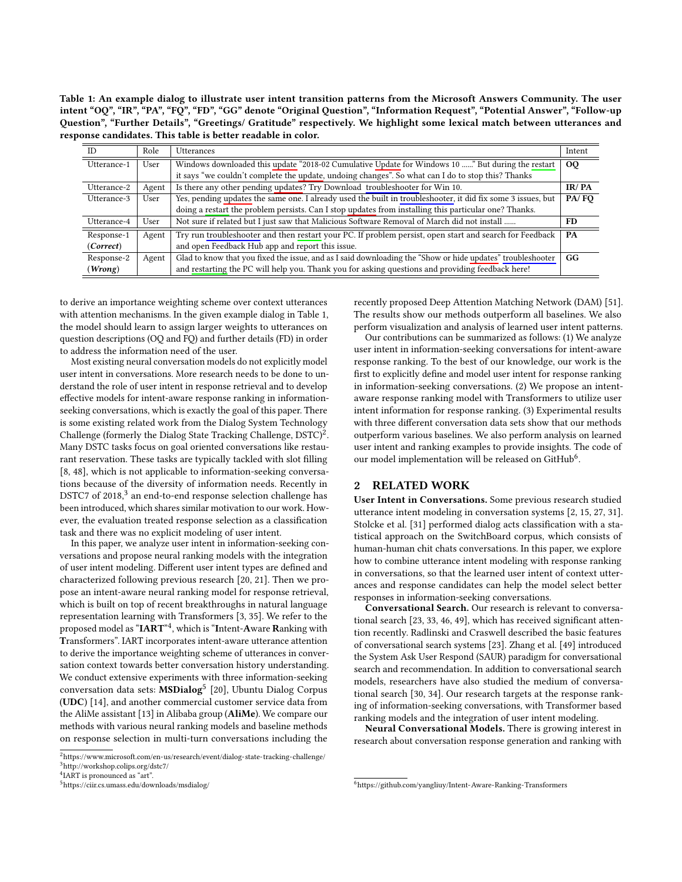<span id="page-1-0"></span>Table 1: An example dialog to illustrate user intent transition patterns from the Microsoft Answers Community. The user intent "OQ", "IR", "PA", "FQ", "FD", "GG" denote "Original Question", "Information Request", "Potential Answer", "Follow-up Question", "Further Details", "Greetings/ Gratitude" respectively. We highlight some lexical match between utterances and response candidates. This table is better readable in color.

| m           | Role  | Utterances                                                                                                   | Intent          |
|-------------|-------|--------------------------------------------------------------------------------------------------------------|-----------------|
| Utterance-1 | User  | Windows downloaded this update "2018-02 Cumulative Update for Windows 10 " But during the restart            | 00 <sub>o</sub> |
|             |       | it says "we couldn't complete the update, undoing changes". So what can I do to stop this? Thanks            |                 |
| Utterance-2 | Agent | Is there any other pending updates? Try Download troubleshooter for Win 10.                                  | IR/PA           |
| Utterance-3 | User  | Yes, pending updates the same one. I already used the built in troubleshooter, it did fix some 3 issues, but | PA/FO           |
|             |       | doing a restart the problem persists. Can I stop updates from installing this particular one? Thanks.        |                 |
| Utterance-4 | User  | Not sure if related but I just saw that Malicious Software Removal of March did not install                  | FD.             |
| Response-1  | Agent | Try run troubleshooter and then restart your PC. If problem persist, open start and search for Feedback      | PA              |
| (Correct)   |       | and open Feedback Hub app and report this issue.                                                             |                 |
| Response-2  | Agent | Glad to know that you fixed the issue, and as I said downloading the "Show or hide updates" troubleshooter   | GG              |
| (Wrong)     |       | and restarting the PC will help you. Thank you for asking questions and providing feedback here!             |                 |

to derive an importance weighting scheme over context utterances with attention mechanisms. In the given example dialog in Table [1,](#page-1-0) the model should learn to assign larger weights to utterances on question descriptions (OQ and FQ) and further details (FD) in order to address the information need of the user.

Most existing neural conversation models do not explicitly model user intent in conversations. More research needs to be done to understand the role of user intent in response retrieval and to develop efective models for intent-aware response ranking in informationseeking conversations, which is exactly the goal of this paper. There is some existing related work from the Dialog System Technology Challenge (formerly the Dialog State Tracking Challenge, DSTC)<sup>[2](#page-1-1)</sup>. Many DSTC tasks focus on goal oriented conversations like restaurant reservation. These tasks are typically tackled with slot flling [\[8,](#page-6-12) [48\]](#page-6-13), which is not applicable to information-seeking conversations because of the diversity of information needs. Recently in DSTC7 of 2018, $3$  an end-to-end response selection challenge has been introduced, which shares similar motivation to our work. However, the evaluation treated response selection as a classifcation task and there was no explicit modeling of user intent.

In this paper, we analyze user intent in information-seeking conversations and propose neural ranking models with the integration of user intent modeling. Diferent user intent types are defned and characterized following previous research [\[20,](#page-6-10) [21\]](#page-6-11). Then we propose an intent-aware neural ranking model for response retrieval, which is built on top of recent breakthroughs in natural language representation learning with Transformers [\[3,](#page-6-14) [35\]](#page-6-0). We refer to the proposed model as " $\mathbf{IART}^{*4},$  $\mathbf{IART}^{*4},$  $\mathbf{IART}^{*4},$  which is " $\mathbf{I}$ ntent- $\mathbf{A}$ ware  $\mathbf{R}$ anking with Transformers". IART incorporates intent-aware utterance attention to derive the importance weighting scheme of utterances in conversation context towards better conversation history understanding. We conduct extensive experiments with three information-seeking conversation data sets: **MSDialog**<sup>[5](#page-1-4)</sup> [\[20\]](#page-6-10), Ubuntu Dialog Corpus (UDC) [\[14\]](#page-6-15), and another commercial customer service data from the AliMe assistant [\[13\]](#page-6-16) in Alibaba group (AliMe). We compare our methods with various neural ranking models and baseline methods on response selection in multi-turn conversations including the

recently proposed Deep Attention Matching Network (DAM) [\[51\]](#page-6-17). The results show our methods outperform all baselines. We also perform visualization and analysis of learned user intent patterns.

Our contributions can be summarized as follows: (1) We analyze user intent in information-seeking conversations for intent-aware response ranking. To the best of our knowledge, our work is the frst to explicitly defne and model user intent for response ranking in information-seeking conversations. (2) We propose an intentaware response ranking model with Transformers to utilize user intent information for response ranking. (3) Experimental results with three diferent conversation data sets show that our methods outperform various baselines. We also perform analysis on learned user intent and ranking examples to provide insights. The code of our model implementation will be released on GitHub<sup>[6](#page-1-5)</sup>.

## 2 RELATED WORK

User Intent in Conversations. Some previous research studied utterance intent modeling in conversation systems [\[2,](#page-6-18) [15,](#page-6-19) [27,](#page-6-20) [31\]](#page-6-21). Stolcke et al. [\[31\]](#page-6-21) performed dialog acts classifcation with a statistical approach on the SwitchBoard corpus, which consists of human-human chit chats conversations. In this paper, we explore how to combine utterance intent modeling with response ranking in conversations, so that the learned user intent of context utterances and response candidates can help the model select better responses in information-seeking conversations.

Conversational Search. Our research is relevant to conversational search [\[23,](#page-6-22) [33,](#page-6-23) [46,](#page-6-24) [49\]](#page-6-25), which has received signifcant attention recently. Radlinski and Craswell described the basic features of conversational search systems [\[23\]](#page-6-22). Zhang et al. [\[49\]](#page-6-25) introduced the System Ask User Respond (SAUR) paradigm for conversational search and recommendation. In addition to conversational search models, researchers have also studied the medium of conversational search [\[30,](#page-6-26) [34\]](#page-6-27). Our research targets at the response ranking of information-seeking conversations, with Transformer based ranking models and the integration of user intent modeling.

Neural Conversational Models. There is growing interest in research about conversation response generation and ranking with

<span id="page-1-2"></span><span id="page-1-1"></span><sup>2</sup><https://www.microsoft.com/en-us/research/event/dialog-state-tracking-challenge/> <sup>3</sup><http://workshop.colips.org/dstc7/>

<span id="page-1-3"></span><sup>4</sup> IART is pronounced as "art".

<span id="page-1-4"></span><sup>5</sup><https://ciir.cs.umass.edu/downloads/msdialog/>

<span id="page-1-5"></span><sup>6</sup><https://github.com/yangliuy/Intent-Aware-Ranking-Transformers>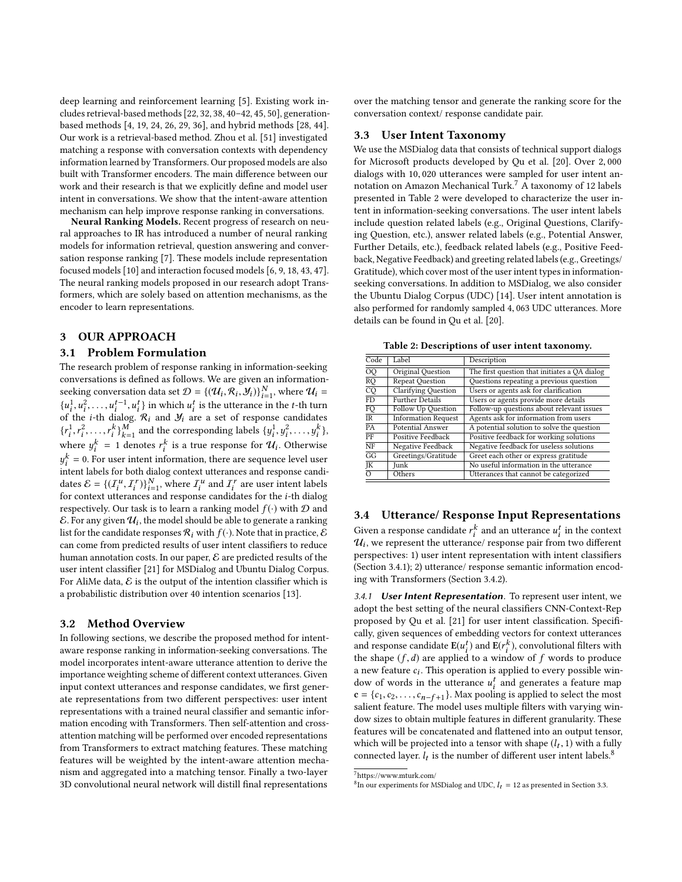deep learning and reinforcement learning [\[5\]](#page-6-28). Existing work includes retrieval-based methods [\[22,](#page-6-29) [32,](#page-6-30) [38,](#page-6-8) [40](#page-6-4)[–42,](#page-6-5) [45,](#page-6-9) [50\]](#page-6-31), generationbased methods [\[4,](#page-6-32) [19,](#page-6-33) [24,](#page-6-1) [26,](#page-6-2) [29,](#page-6-34) [36\]](#page-6-35), and hybrid methods [\[28,](#page-6-6) [44\]](#page-6-7). Our work is a retrieval-based method. Zhou et al. [\[51\]](#page-6-17) investigated matching a response with conversation contexts with dependency information learned by Transformers. Our proposed models are also built with Transformer encoders. The main diference between our work and their research is that we explicitly defne and model user intent in conversations. We show that the intent-aware attention mechanism can help improve response ranking in conversations.

Neural Ranking Models. Recent progress of research on neural approaches to IR has introduced a number of neural ranking models for information retrieval, question answering and conversation response ranking [\[7\]](#page-6-36). These models include representation focused models [\[10\]](#page-6-37) and interaction focused models [\[6,](#page-6-38) [9,](#page-6-39) [18,](#page-6-40) [43,](#page-6-41) [47\]](#page-6-42). The neural ranking models proposed in our research adopt Transformers, which are solely based on attention mechanisms, as the encoder to learn representations.

# 3 OUR APPROACH

## 3.1 Problem Formulation

The research problem of response ranking in information-seeking conversations is defned as follows. We are given an informationseeking conversation data set  $\mathcal{D} = \{(\mathcal{U}_i, \mathcal{R}_i, \mathcal{Y}_i)\}_{i=1}^N$ , where  $\mathcal{U}_i = \{u_i\}_{i=1}^N$ ,  $u_i^1 = u_i^1$  in which  $u_i^i$  is the utterspace in the t th turn  $i=1$ <br>in  $\{u_1^1, u_1^2, \ldots, u_t^{t-1}, u_t^t\}$  in which  $u_i^t$  is the utterance in the t-th turn<br>of the i-th dialog  $\mathcal{R}_t$  and  $\mathcal{Y}_t$  are a set of response candidates  $\int_{0}^{\ln 1} e^{i\omega t} dt$  is the i-th dialog.  $\mathcal{R}_i$  and  $\mathcal{Y}_i$  are a set of response candidates  $\{r_i^1\}$ where  $y_i^k = 1$  denotes  $r_i^k$  is a true response for  $\mathcal{U}_i$ . Otherwise  $\ddot{\phantom{a}}$ 2  $\ldots$ ,  $r_i^k$   $\bigvee_{k=1}^M$  and the corresponding labels  $\{y_i^1\}$  $, y$ 2  $, \ldots, y_i^k\},\$  $\frac{k}{i}$  = 0. For user intent information, there are sequence level user for the context different materials intent and response candidates  $\mathcal{E} = \{ (I_i^u, I_i^r) \}_{i=1}^N$ , where  $I_i^u$  and  $I_i^r$  are user intent labels<br>for context utterances and response candidates for the i-th dialog dates  $\mathcal{E} = \{ (I_i^*, I_i^*) \}_{i=1}^{\infty}$ , where  $I_i^*$  and  $I_i^*$  are user intent labels<br>for context utterances and response candidates for the *i*-th dialog<br>respectively. Our task is to learn a rapking model  $f(.)$  with  $\Omega$  respectively. Our task is to learn a ranking model  $f(\cdot)$  with  $D$  and  $\mathcal{E}$ . For any given  $\mathcal{U}_i$ , the model should be able to generate a ranking<br>list for the candidate responses  $\mathcal{R}$ , with  $f(.)$  Note that in practice  $\mathcal{E}$ list for the candidate responses  $\mathcal{R}_i$  with  $f(\cdot)$ . Note that in practice,  $\mathcal E$ can come from predicted results of user intent classifers to reduce human annotation costs. In our paper,  $\mathcal E$  are predicted results of the user intent classifer [\[21\]](#page-6-11) for MSDialog and Ubuntu Dialog Corpus. For AliMe data,  $\mathcal E$  is the output of the intention classifier which is a probabilistic distribution over 40 intention scenarios [\[13\]](#page-6-16).

## 3.2 Method Overview

In following sections, we describe the proposed method for intentaware response ranking in information-seeking conversations. The model incorporates intent-aware utterance attention to derive the importance weighting scheme of diferent context utterances. Given input context utterances and response candidates, we frst generate representations from two diferent perspectives: user intent representations with a trained neural classifer and semantic information encoding with Transformers. Then self-attention and crossattention matching will be performed over encoded representations from Transformers to extract matching features. These matching features will be weighted by the intent-aware attention mechanism and aggregated into a matching tensor. Finally a two-layer 3D convolutional neural network will distill fnal representations

over the matching tensor and generate the ranking score for the conversation context/ response candidate pair.

## <span id="page-2-4"></span>3.3 User Intent Taxonomy

We use the MSDialog data that consists of technical support dialogs for Microsoft products developed by Qu et al. [\[20\]](#page-6-10). Over <sup>2</sup>, <sup>000</sup> dialogs with <sup>10</sup>, <sup>020</sup> utterances were sampled for user intent annotation on Amazon Mechanical Turk.[7](#page-2-0) A taxonomy of 12 labels presented in Table [2](#page-2-1) were developed to characterize the user intent in information-seeking conversations. The user intent labels include question related labels (e.g., Original Questions, Clarifying Question, etc.), answer related labels (e.g., Potential Answer, Further Details, etc.), feedback related labels (e.g., Positive Feedback, Negative Feedback) and greeting related labels (e.g., Greetings/ Gratitude), which cover most of the user intent types in informationseeking conversations. In addition to MSDialog, we also consider the Ubuntu Dialog Corpus (UDC) [\[14\]](#page-6-15). User intent annotation is also performed for randomly sampled <sup>4</sup>, <sup>063</sup> UDC utterances. More details can be found in Qu et al. [\[20\]](#page-6-10).

Table 2: Descriptions of user intent taxonomy.

<span id="page-2-1"></span>

| Code            | Label                      | Description                                   |
|-----------------|----------------------------|-----------------------------------------------|
| <b>OQ</b>       | Original Question          | The first question that initiates a QA dialog |
| RQ              | <b>Repeat Question</b>     | Questions repeating a previous question       |
| $\overline{CQ}$ | <b>Clarifying Question</b> | Users or agents ask for clarification         |
| FD              | <b>Further Details</b>     | Users or agents provide more details          |
| FQ              | Follow Up Question         | Follow-up questions about relevant issues     |
| <b>IR</b>       | <b>Information Request</b> | Agents ask for information from users         |
| PA              | <b>Potential Answer</b>    | A potential solution to solve the question    |
| PF              | Positive Feedback          | Positive feedback for working solutions       |
| NF              | Negative Feedback          | Negative feedback for useless solutions       |
| GG              | Greetings/Gratitude        | Greet each other or express gratitude         |
| JK              | Junk                       | No useful information in the utterance        |
| $\Omega$        | Others                     | Utterances that cannot be categorized         |
|                 |                            |                                               |

## 3.4 Utterance/ Response Input Representations

Given a response candidate  $r_i^k$  and an utterance  $u_i^t$  in the context  $u_i$  we represent the utterance/ response pair from two different  $u_i$ , we represent the utterance/ response pair from two different<br>perspectives: 1) user intent representation with intent classifiers perspectives: 1) user intent representation with intent classifers (Section [3.4.1\)](#page-2-2); 2) utterance/ response semantic information encoding with Transformers (Section [3.4.2\)](#page-3-0).

<span id="page-2-2"></span>3.4.1 User Intent Representation. To represent user intent, we adopt the best setting of the neural classifers CNN-Context-Rep proposed by Qu et al. [\[21\]](#page-6-11) for user intent classifcation. Specifcally, given sequences of embedding vectors for context utterances and response candidate  $E(u_i^t)$  and  $E(r_i^k)$ , convolutional filters with<br>the shape (f, d) are applied to a window of f, words to produce the shape  $(f, d)$  are applied to a window of f words to produce<br>a new feature  $c$ . This operation is applied to every possible wind a new feature  $c_i$ . This operation is applied to every possible win-<br>dow of words in the utterance  $u^t$  and generates a feature man dow of words in the utterance  $u_i^t$  and generates a feature map<br> $\mathbf{c} = \{c_i, c_i\}$  and Max position is applied to select the most  $c = \{c_1, c_2, \ldots, c_{n-f+1}\}\)$ . Max pooling is applied to select the most<br>salient feature. The model uses multiple filters with varying winsalient feature. The model uses multiple flters with varying window sizes to obtain multiple features in diferent granularity. These features will be concatenated and fattened into an output tensor, which will be projected into a tensor with shape  $(l_t, 1)$  with a fully connected layer  $l_t$  is the number of different user intent labels  $\delta$ connected layer.  $l_t$  is the number of different user intent labels.<sup>[8](#page-2-3)</sup>

<span id="page-2-0"></span> $7$ <https://www.mturk.com/>

<span id="page-2-3"></span> ${}^{8}$ In our experiments for MSDialog and UDC,  $l_t = 12$  as presented in Section [3.3.](#page-2-4)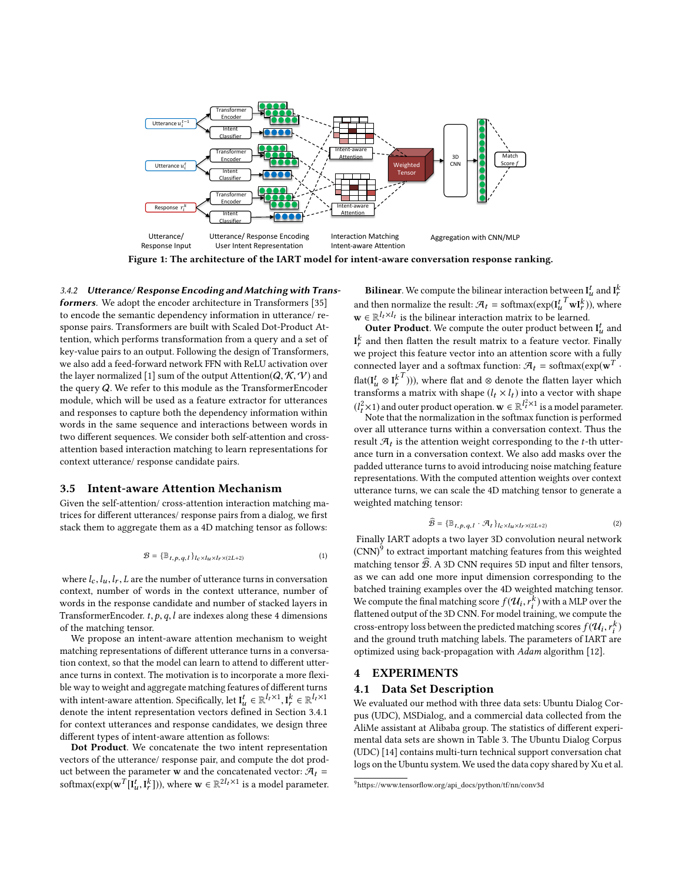

Figure 1: The architecture of the IART model for intent-aware conversation response ranking.

#### <span id="page-3-0"></span>3.4.2 Uterance/ Response Encoding and Matching with Trans-

formers. We adopt the encoder architecture in Transformers [\[35\]](#page-6-0) to encode the semantic dependency information in utterance/ response pairs. Transformers are built with Scaled Dot-Product Attention, which performs transformation from a query and a set of key-value pairs to an output. Following the design of Transformers, we also add a feed-forward network FFN with ReLU activation over the layer normalized [\[1\]](#page-6-43) sum of the output Attention( $Q, K, V$ ) and the query Q. We refer to this module as the TransformerEncoder module, which will be used as a feature extractor for utterances and responses to capture both the dependency information within words in the same sequence and interactions between words in two diferent sequences. We consider both self-attention and crossattention based interaction matching to learn representations for context utterance/ response candidate pairs.

#### 3.5 Intent-aware Attention Mechanism

Given the self-attention/ cross-attention interaction matching matrices for diferent utterances/ response pairs from a dialog, we frst stack them to aggregate them as a 4D matching tensor as follows:

$$
\mathcal{B} = \{ \mathbb{B}_{t, p, q, l} \}_{l \in \times l_u \times l_r \times (2L+2)} \tag{1}
$$

where  $l_c$ ,  $l_u$ ,  $l_r$ ,  $L$  are the number of utterance turns in conversation context, number of words in the context utterance, number of words in the response candidate and number of stacked layers in TransformerEncoder.  $t, p, q, l$  are indexes along these 4 dimensions of the matching tensor.

We propose an intent-aware attention mechanism to weight matching representations of diferent utterance turns in a conversation context, so that the model can learn to attend to diferent utterance turns in context. The motivation is to incorporate a more fexible way to weight and aggregate matching features of diferent turns with intent-aware attention. Specifically, let  $I_u^t \in \mathbb{R}^{l_t \times 1}$ ,  $I_v^k \in \mathbb{R}^{l_t \times 1}$ <br>denote the intent representation vectors defined in Section 3.4.1 denote the intent representation vectors defned in Section [3.4.1](#page-2-2) for context utterances and response candidates, we design three diferent types of intent-aware attention as follows:

Dot Product. We concatenate the two intent representation vectors of the utterance/ response pair, and compute the dot product between the parameter **w** and the concatenated vector:  $\mathcal{A}_t$  = softmax( $\exp(\mathbf{w}^T [\mathbf{I}_u^t, \mathbf{I}_r^k]))$ , where  $\mathbf{w} \in \mathbb{R}^{2l_t \times 1}$  is a model parameter.

**Bilinear**. We compute the bilinear interaction between  $\mathbf{I}_u^t$  and  $\mathbf{I}_r^k$ and then normalize the result:  $\mathcal{A}_t = \text{softmax}(\exp(\mathbf{I}_t^t \mathbf{I} \mathbf{w} \mathbf{I}_t^k))$ , where  $\mathbf{w} \in \mathbb{R}^{l_t \times l_t}$  is the bilinear interaction matrix to be learned.

**Outer Product**. We compute the outer product between  $\mathbf{I}_u^t$  and  $\textbf{I}_r^k$  and then flatten the result matrix to a feature vector. Finally we project this feature vector into an attention score with a fully connected layer and a softmax function:  $\mathcal{A}_t$  = softmax( $\exp(w^T \cdot \mathcal{A}_t)$ flat( $I_u^t \otimes I_r^{k^t}$ ))), where flat and ⊗ denote the flatten layer which<br>transforms a matrix with shane  $(L \times L)$  into a vector with shane transforms a matrix with shape  $(l_t \times l_t)$  into a vector with shape transforms a matrix with shape  $(l_t \times l_t)$  into a vector with shape  $(l_t^2 \times 1)$  and outer product operation.  $\mathbf{w} \in \mathbb{R}^l$ <br>Note that the normalization in the softm  $\int_t^{2\times 1}$  is a model parameter.

Note that the normalization in the softmax function is performed over all utterance turns within a conversation context. Thus the result  $\mathcal{A}_t$  is the attention weight corresponding to the t-th utter-<br>ance turn in a conversation context. We also add masks over the ance turn in a conversation context. We also add masks over the padded utterance turns to avoid introducing noise matching feature representations. With the computed attention weights over context utterance turns, we can scale the 4D matching tensor to generate a weighted matching tensor:

$$
\widehat{\mathcal{B}} = \{ \mathbb{B}_{t, p, q, l} \cdot \mathcal{A}_t \}_{l_c \times l_u \times l_r \times (2L+2)}
$$
\n(2)

Finally IART adopts a two layer 3D convolution neural network  $\text{(CNN)}^9$  $\text{(CNN)}^9$  to extract important matching features from this weighted matching tensor  $\widehat{\mathcal{B}}$ . A 3D CNN requires 5D input and filter tensors, as we can add one more input dimension corresponding to the batched training examples over the 4D weighted matching tensor. We compute the final matching score  $f(\mathcal{U}_i, r_i^k)$  with a MLP over the flattened output of the 3D CNN. For model training, we compute the  $\frac{1}{2}$  factor and  $\frac{1}{2}$  and  $\frac{1}{2}$  and  $\frac{1}{2}$   $\frac{1}{2}$   $\frac{1}{2}$   $\frac{1}{2}$   $\frac{1}{2}$   $\frac{1}{2}$   $\frac{1}{2}$   $\frac{1}{2}$   $\frac{1}{2}$   $\frac{1}{2}$   $\frac{1}{2}$   $\frac{1}{2}$   $\frac{1}{2}$   $\frac{1}{2}$   $\frac{1}{2}$   $\frac{1}{2}$   $\frac{1}{2}$   $\$ cross-entropy loss between the predicted matching scores  $f(\mathcal{U}_i, r_i^k)$ <br>and the ground truth matching labels. The parameters of LAPT are and the ground truth matching labels. The parameters of IART are optimized using back-propagation with Adam algorithm [\[12\]](#page-6-44).

## 4 EXPERIMENTS

#### 4.1 Data Set Description

We evaluated our method with three data sets: Ubuntu Dialog Corpus (UDC), MSDialog, and a commercial data collected from the AliMe assistant at Alibaba group. The statistics of diferent experimental data sets are shown in Table [3.](#page-4-0) The Ubuntu Dialog Corpus (UDC) [\[14\]](#page-6-15) contains multi-turn technical support conversation chat logs on the Ubuntu system. We used the data copy shared by Xu et al.

<span id="page-3-1"></span><sup>9</sup>[https://www.tensorfow.org/api\\_docs/python/tf/nn/conv3d](https://www.tensorflow.org/api_docs/python/tf/nn/conv3d)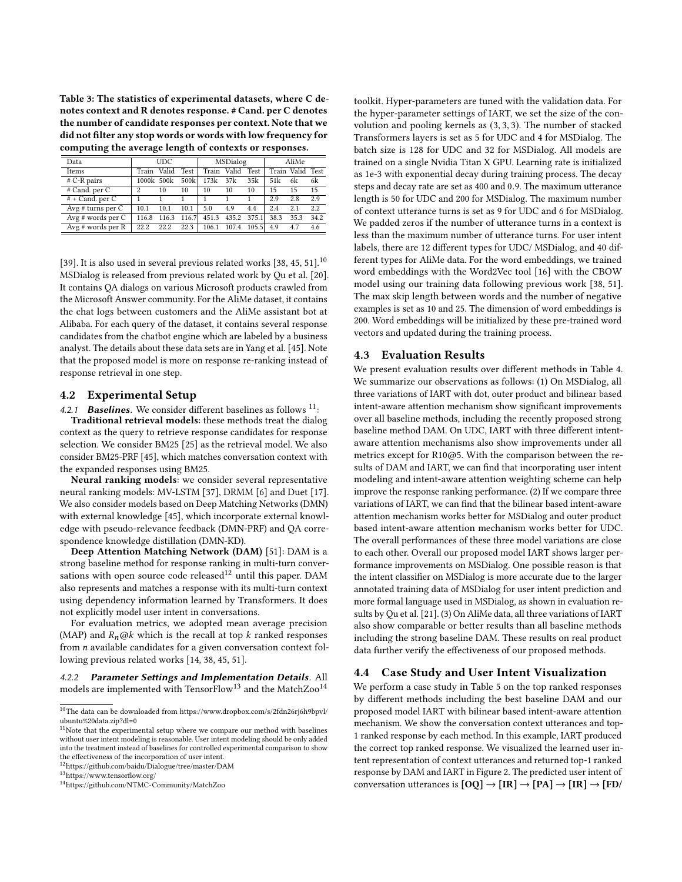<span id="page-4-0"></span>Table 3: The statistics of experimental datasets, where C denotes context and R denotes response. # Cand. per C denotes the number of candidate responses per context. Note that we did not flter any stop words or words with low frequency for computing the average length of contexts or responses.

| Data                  |            | <b>UDC</b> |       |       | MSDialog    |             |                  | AliMe |      |
|-----------------------|------------|------------|-------|-------|-------------|-------------|------------------|-------|------|
| Items                 | Train      | Valid      | Test  |       | Train Valid | Test        | Train Valid Test |       |      |
| $# C-R pairs$         | 1000k 500k |            | 500k  | 173k  | 37k         | 35k         | 51k              | 6k    | 6k   |
| # Cand. per C         | 2          | 10         | 10    | 10    | 10          | 10          | 15               | 15    | 15   |
| # + Cand. per C       |            |            |       |       |             |             | 2.9              | 2.8   | 2.9  |
| Avg $# turns per C$   | 101        | 10.1       | 10.1  | 5.0   | 4.9         | 4.4         | 2.4              | 2.1   | 2.2  |
| Avg $#$ words per $C$ | 116.8      | 116.3      | 116.7 | 451.3 |             | 435.2 375.1 | 38.3             | 35.3  | 34.2 |
| Avg $#$ words per R   | 22.2       | 22.2       | 22.3  | 106.1 | 107.4 105.5 |             | 4.9              | 4.7   | 4.6  |

[\[39\]](#page-6-45). It is also used in several previous related works [\[38,](#page-6-8) [45,](#page-6-9) [51\]](#page-6-17). $^{10}$  $^{10}$  $^{10}$ MSDialog is released from previous related work by Qu et al. [\[20\]](#page-6-10). It contains QA dialogs on various Microsoft products crawled from the Microsoft Answer community. For the AliMe dataset, it contains the chat logs between customers and the AliMe assistant bot at Alibaba. For each query of the dataset, it contains several response candidates from the chatbot engine which are labeled by a business analyst. The details about these data sets are in Yang et al. [\[45\]](#page-6-9). Note that the proposed model is more on response re-ranking instead of response retrieval in one step.

#### 4.2 Experimental Setup

4.2.1 **Baselines**. We consider different baselines as follows  $11$ :

Traditional retrieval models: these methods treat the dialog context as the query to retrieve response candidates for response selection. We consider BM25 [\[25\]](#page-6-46) as the retrieval model. We also consider BM25-PRF [\[45\]](#page-6-9), which matches conversation context with the expanded responses using BM25.

Neural ranking models: we consider several representative neural ranking models: MV-LSTM [\[37\]](#page-6-47), DRMM [\[6\]](#page-6-38) and Duet [\[17\]](#page-6-48). We also consider models based on Deep Matching Networks (DMN) with external knowledge [\[45\]](#page-6-9), which incorporate external knowledge with pseudo-relevance feedback (DMN-PRF) and QA correspondence knowledge distillation (DMN-KD).

Deep Attention Matching Network (DAM) [\[51\]](#page-6-17): DAM is a strong baseline method for response ranking in multi-turn conversations with open source code released $12$  until this paper. DAM also represents and matches a response with its multi-turn context using dependency information learned by Transformers. It does not explicitly model user intent in conversations.

For evaluation metrics, we adopted mean average precision (MAP) and  $R_n@k$  which is the recall at top k ranked responses from n available candidates for a given conversation context following previous related works [\[14,](#page-6-15) [38,](#page-6-8) [45,](#page-6-9) [51\]](#page-6-17).

4.2.2 Parameter Setings and Implementation Details. All models are implemented with TensorFlow<sup>[13](#page-4-4)</sup> and the MatchZoo<sup>[14](#page-4-5)</sup>

<span id="page-4-3"></span> $^{12}{\rm https://github.com/baidu/Dialogue/tree/master/DAM}$  $^{12}{\rm https://github.com/baidu/Dialogue/tree/master/DAM}$  $^{12}{\rm https://github.com/baidu/Dialogue/tree/master/DAM}$ 

<span id="page-4-4"></span><sup>13</sup>[https://www.tensorfow.org/](https://www.tensorflow.org/)

toolkit. Hyper-parameters are tuned with the validation data. For the hyper-parameter settings of IART, we set the size of the convolution and pooling kernels as (3, <sup>3</sup>, <sup>3</sup>). The number of stacked Transformers layers is set as 5 for UDC and 4 for MSDialog. The batch size is 128 for UDC and 32 for MSDialog. All models are trained on a single Nvidia Titan X GPU. Learning rate is initialized as 1e-3 with exponential decay during training process. The decay steps and decay rate are set as <sup>400</sup> and <sup>0</sup>.9. The maximum utterance length is 50 for UDC and 200 for MSDialog. The maximum number of context utterance turns is set as 9 for UDC and 6 for MSDialog. We padded zeros if the number of utterance turns in a context is less than the maximum number of utterance turns. For user intent labels, there are 12 diferent types for UDC/ MSDialog, and 40 different types for AliMe data. For the word embeddings, we trained word embeddings with the Word2Vec tool [\[16\]](#page-6-49) with the CBOW model using our training data following previous work [\[38,](#page-6-8) [51\]](#page-6-17). The max skip length between words and the number of negative examples is set as 10 and 25. The dimension of word embeddings is 200. Word embeddings will be initialized by these pre-trained word vectors and updated during the training process.

## 4.3 Evaluation Results

We present evaluation results over diferent methods in Table [4.](#page-5-0) We summarize our observations as follows: (1) On MSDialog, all three variations of IART with dot, outer product and bilinear based intent-aware attention mechanism show signifcant improvements over all baseline methods, including the recently proposed strong baseline method DAM. On UDC, IART with three diferent intentaware attention mechanisms also show improvements under all metrics except for R10@5. With the comparison between the results of DAM and IART, we can fnd that incorporating user intent modeling and intent-aware attention weighting scheme can help improve the response ranking performance. (2) If we compare three variations of IART, we can fnd that the bilinear based intent-aware attention mechanism works better for MSDialog and outer product based intent-aware attention mechanism works better for UDC. The overall performances of these three model variations are close to each other. Overall our proposed model IART shows larger performance improvements on MSDialog. One possible reason is that the intent classifer on MSDialog is more accurate due to the larger annotated training data of MSDialog for user intent prediction and more formal language used in MSDialog, as shown in evaluation results by Qu et al. [\[21\]](#page-6-11). (3) On AliMe data, all three variations of IART also show comparable or better results than all baseline methods including the strong baseline DAM. These results on real product data further verify the efectiveness of our proposed methods.

## 4.4 Case Study and User Intent Visualization

We perform a case study in Table [5](#page-5-1) on the top ranked responses by diferent methods including the best baseline DAM and our proposed model IART with bilinear based intent-aware attention mechanism. We show the conversation context utterances and top-1 ranked response by each method. In this example, IART produced the correct top ranked response. We visualized the learned user intent representation of context utterances and returned top-1 ranked response by DAM and IART in Figure [2.](#page-5-2) The predicted user intent of conversation utterances is  $[OQ] \rightarrow [IR] \rightarrow [PA] \rightarrow [IR] \rightarrow [FD/$ 

<span id="page-4-1"></span> $^{10}\mathrm{The}$  data can be downloaded from [https://www.dropbox.com/s/2fdn26rj6h9bpvl/](https://www.dropbox.com/s/2fdn26rj6h9bpvl/ubuntu%20data.zip?dl=0) [ubuntu%20data.zip?dl=0](https://www.dropbox.com/s/2fdn26rj6h9bpvl/ubuntu%20data.zip?dl=0)

<span id="page-4-2"></span> $11$ Note that the experimental setup where we compare our method with baselines without user intent modeling is reasonable. User intent modeling should be only added into the treatment instead of baselines for controlled experimental comparison to show the efectiveness of the incorporation of user intent.

<span id="page-4-5"></span><sup>14</sup><https://github.com/NTMC-Community/MatchZoo>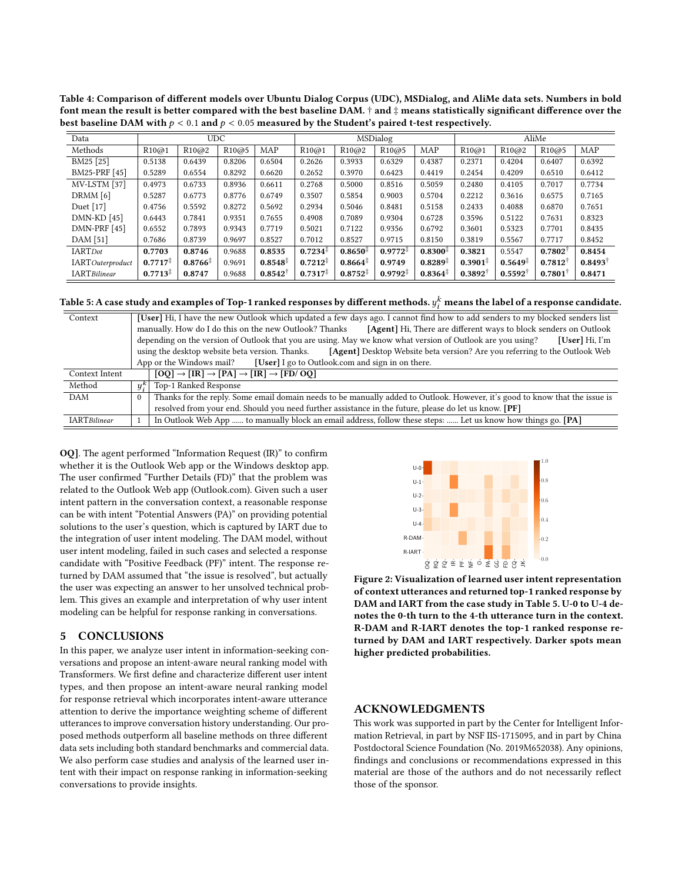<span id="page-5-0"></span>Table 4: Comparison of diferent models over Ubuntu Dialog Corpus (UDC), MSDialog, and AliMe data sets. Numbers in bold font mean the result is better compared with the best baseline DAM. † and ‡ means statistically significant difference over the best baseline DAM with  $p < 0.1$  and  $p < 0.05$  measured by the Student's paired t-test respectively.

| Data                     | <b>UDC</b>          |                        |        |                        | <b>MSDialog</b>     |                        |                     |                        | AliMe                 |                     |                       |                       |
|--------------------------|---------------------|------------------------|--------|------------------------|---------------------|------------------------|---------------------|------------------------|-----------------------|---------------------|-----------------------|-----------------------|
| Methods                  | R10@1               | R10@2                  | R10@5  | <b>MAP</b>             | R10@1               | R10@2                  | R10@5               | MAP                    | R10@1                 | R <sub>10</sub> @2  | R10@5                 | MAP                   |
| BM25 [25]                | 0.5138              | 0.6439                 | 0.8206 | 0.6504                 | 0.2626              | 0.3933                 | 0.6329              | 0.4387                 | 0.2371                | 0.4204              | 0.6407                | 0.6392                |
| BM25-PRF [45]            | 0.5289              | 0.6554                 | 0.8292 | 0.6620                 | 0.2652              | 0.3970                 | 0.6423              | 0.4419                 | 0.2454                | 0.4209              | 0.6510                | 0.6412                |
| MV-LSTM [37]             | 0.4973              | 0.6733                 | 0.8936 | 0.6611                 | 0.2768              | 0.5000                 | 0.8516              | 0.5059                 | 0.2480                | 0.4105              | 0.7017                | 0.7734                |
| DRMM [6]                 | 0.5287              | 0.6773                 | 0.8776 | 0.6749                 | 0.3507              | 0.5854                 | 0.9003              | 0.5704                 | 0.2212                | 0.3616              | 0.6575                | 0.7165                |
| Duet [17]                | 0.4756              | 0.5592                 | 0.8272 | 0.5692                 | 0.2934              | 0.5046                 | 0.8481              | 0.5158                 | 0.2433                | 0.4088              | 0.6870                | 0.7651                |
| $DMN-KD$ [45]            | 0.6443              | 0.7841                 | 0.9351 | 0.7655                 | 0.4908              | 0.7089                 | 0.9304              | 0.6728                 | 0.3596                | 0.5122              | 0.7631                | 0.8323                |
| DMN-PRF [45]             | 0.6552              | 0.7893                 | 0.9343 | 0.7719                 | 0.5021              | 0.7122                 | 0.9356              | 0.6792                 | 0.3601                | 0.5323              | 0.7701                | 0.8435                |
| DAM [51]                 | 0.7686              | 0.8739                 | 0.9697 | 0.8527                 | 0.7012              | 0.8527                 | 0.9715              | 0.8150                 | 0.3819                | 0.5567              | 0.7717                | 0.8452                |
| <b>IARTDot</b>           | 0.7703              | 0.8746                 | 0.9688 | 0.8535                 | $0.7234^{\ddagger}$ | $0.8650^{\ddagger}$    | $0.9772^+$          | $0.8300*$              | 0.3821                | 0.5547              | $0.7802^{\dagger}$    | 0.8454                |
| <b>IART</b> Outerproduct | $0.7717^*$          | $0.8766^{\frac{1}{3}}$ | 0.9691 | $0.8548^{\frac{1}{4}}$ | $0.7212^{\ddagger}$ | $0.8664^{\frac{1}{3}}$ | 0.9749              | $0.8289^{T}$           | $0.3901^{\ddagger}$   | $0.5649^{\ddagger}$ | $0.7812$ <sup>T</sup> | $0.8493$ <sup>T</sup> |
| <b>IARTBilinear</b>      | $0.7713^{\ddagger}$ | 0.8747                 | 0.9688 | $0.8542^{\dagger}$     | $0.7317^{\ddagger}$ | $0.8752^{\ddagger}$    | $0.9792^{\ddagger}$ | $0.8364^{\frac{1}{7}}$ | $0.3892$ <sup>T</sup> | $0.5592^{\dagger}$  | 0.7801                | 0.8471                |

<span id="page-5-1"></span>Table 5: A case study and examples of Top-1 ranked responses by different methods.  $y_i^k$  means the label of a response candidate.

| Context             |              | [User] Hi, I have the new Outlook which updated a few days ago. I cannot find how to add senders to my blocked senders list    |  |  |  |  |  |  |  |
|---------------------|--------------|--------------------------------------------------------------------------------------------------------------------------------|--|--|--|--|--|--|--|
|                     |              | manually. How do I do this on the new Outlook? Thanks<br>[Agent] Hi, There are different ways to block senders on Outlook      |  |  |  |  |  |  |  |
|                     |              | depending on the version of Outlook that you are using. May we know what version of Outlook are you using?<br>$[User]$ Hi, I'm |  |  |  |  |  |  |  |
|                     |              | [Agent] Desktop Website beta version? Are you referring to the Outlook Web<br>using the desktop website beta version. Thanks.  |  |  |  |  |  |  |  |
|                     |              | [User] I go to Outlook.com and sign in on there.<br>App or the Windows mail?                                                   |  |  |  |  |  |  |  |
| Context Intent      |              | $[OQ] \rightarrow [IR] \rightarrow [PA] \rightarrow [IR] \rightarrow [FD/OQ]$                                                  |  |  |  |  |  |  |  |
| Method              | $y_i^k$      | Top-1 Ranked Response                                                                                                          |  |  |  |  |  |  |  |
| <b>DAM</b>          | $\mathbf{0}$ | Thanks for the reply. Some email domain needs to be manually added to Outlook. However, it's good to know that the issue is    |  |  |  |  |  |  |  |
|                     |              | resolved from your end. Should you need further assistance in the future, please do let us know. [PF]                          |  |  |  |  |  |  |  |
| <b>IARTBilinear</b> |              | In Outlook Web App  to manually block an email address, follow these steps:  Let us know how things go. [PA]                   |  |  |  |  |  |  |  |

OQ]. The agent performed "Information Request (IR)" to confrm whether it is the Outlook Web app or the Windows desktop app. The user confrmed "Further Details (FD)" that the problem was related to the Outlook Web app (Outlook.com). Given such a user intent pattern in the conversation context, a reasonable response can be with intent "Potential Answers (PA)" on providing potential solutions to the user's question, which is captured by IART due to the integration of user intent modeling. The DAM model, without user intent modeling, failed in such cases and selected a response candidate with "Positive Feedback (PF)" intent. The response returned by DAM assumed that "the issue is resolved", but actually the user was expecting an answer to her unsolved technical problem. This gives an example and interpretation of why user intent modeling can be helpful for response ranking in conversations.

## 5 CONCLUSIONS

In this paper, we analyze user intent in information-seeking conversations and propose an intent-aware neural ranking model with Transformers. We frst defne and characterize diferent user intent types, and then propose an intent-aware neural ranking model for response retrieval which incorporates intent-aware utterance attention to derive the importance weighting scheme of diferent utterances to improve conversation history understanding. Our proposed methods outperform all baseline methods on three diferent data sets including both standard benchmarks and commercial data. We also perform case studies and analysis of the learned user intent with their impact on response ranking in information-seeking canduate with Positive Feedback (PF)<sup>7</sup> intent. The response re-<br>
turned by DAM assumed that "the issue is resolved", but actually<br>
the user was expecting an answer to her unsolved technical prob-<br>
from the site and inter

<span id="page-5-2"></span>

Figure 2: Visualization of learned user intent representation of context utterances and returned top-1 ranked response by DAM and IART from the case study in Table [5.](#page-5-1) U-0 to U-4 denotes the 0-th turn to the 4-th utterance turn in the context. R-DAM and R-IART denotes the top-1 ranked response returned by DAM and IART respectively. Darker spots mean higher predicted probabilities.

## ACKNOWLEDGMENTS

This work was supported in part by the Center for Intelligent Information Retrieval, in part by NSF IIS-1715095, and in part by China Postdoctoral Science Foundation (No. 2019M652038). Any opinions, fndings and conclusions or recommendations expressed in this material are those of the authors and do not necessarily refect those of the sponsor.